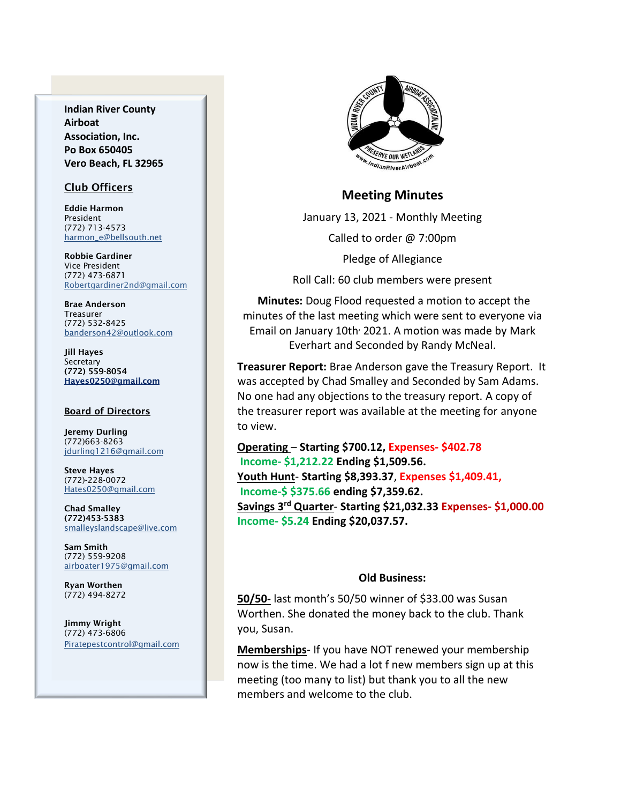**Indian River County Airboat Association, Inc. Po Box 650405 Vero Beach, FL 32965**

#### Club Officers

Eddie Harmon President (772) 713-4573 [harmon\\_e@bellsouth.net](mailto:dougflood772@aol.com)

Robbie Gardiner Vice President (772) 473-6871 [Robertgardiner2nd@gmail.com](mailto:Robertgardiner2nd@gmail.com)

Brae Anderson Treasurer (772) 532-8425 [banderson42@outlook.com](mailto:banderson42@outlook.com)

Jill Hayes Secretary (772) 559-8054 Hayes0250@gmail.com

#### **Board of Directors**

Jeremy Durling (772)663-8263 [jdurling1216@gmail.com](mailto:shufamil@peoplepc.com)

Steve Hayes (772)-228-0072 Hates0250@gmail.com

Chad Smalley (772)453-5383 smalleyslandscape@live.com

Sam Smith (772) 559-9208 [airboater1975@gmail.com](mailto:Airboater22@gmail.com)

Ryan Worthen (772) 494-8272

Jimmy Wright (772) 473-6806 Piratepestcontrol@gmail.com



#### **Meeting Minutes**

January 13, 2021 - Monthly Meeting Called to order @ 7:00pm

Pledge of Allegiance

Roll Call: 60 club members were present

**Minutes:** Doug Flood requested a motion to accept the minutes of the last meeting which were sent to everyone via Email on January 10th<sup>,</sup> 2021. A motion was made by Mark Everhart and Seconded by Randy McNeal.

**Treasurer Report:** Brae Anderson gave the Treasury Report. It was accepted by Chad Smalley and Seconded by Sam Adams. No one had any objections to the treasury report. A copy of the treasurer report was available at the meeting for anyone to view.

**Operating** – **Starting \$700.12, Expenses- \$402.78 Income- \$1,212.22 Ending \$1,509.56. Youth Hunt**- **Starting \$8,393.37**, **Expenses \$1,409.41, Income-\$ \$375.66 ending \$7,359.62. Savings 3rd Quarter**- **Starting \$21,032.33 Expenses- \$1,000.00 Income- \$5.24 Ending \$20,037.57.**

#### **Old Business:**

**50/50-** last month's 50/50 winner of \$33.00 was Susan Worthen. She donated the money back to the club. Thank you, Susan.

**Memberships**- If you have NOT renewed your membership now is the time. We had a lot f new members sign up at this meeting (too many to list) but thank you to all the new members and welcome to the club.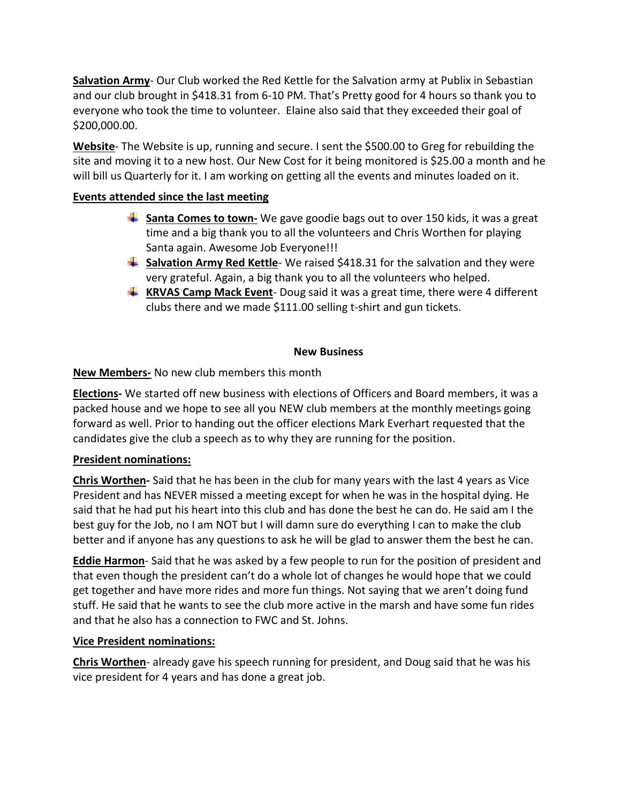**Salvation Army**- Our Club worked the Red Kettle for the Salvation army at Publix in Sebastian and our club brought in \$418.31 from 6-10 PM. That's Pretty good for 4 hours so thank you to everyone who took the time to volunteer. Elaine also said that they exceeded their goal of \$200,000.00.

**Website**- The Website is up, running and secure. I sent the \$500.00 to Greg for rebuilding the site and moving it to a new host. Our New Cost for it being monitored is \$25.00 a month and he will bill us Quarterly for it. I am working on getting all the events and minutes loaded on it.

# **Events attended since the last meeting**

- **Santa Comes to town-** We gave goodie bags out to over 150 kids, it was a great time and a big thank you to all the volunteers and Chris Worthen for playing Santa again. Awesome Job Everyone!!!
- **Salvation Army Red Kettle** We raised \$418.31 for the salvation and they were very grateful. Again, a big thank you to all the volunteers who helped.
- **KRVAS Camp Mack Event** Doug said it was a great time, there were 4 different clubs there and we made \$111.00 selling t-shirt and gun tickets.

# **New Business**

# **New Members-** No new club members this month

**Elections-** We started off new business with elections of Officers and Board members, it was a packed house and we hope to see all you NEW club members at the monthly meetings going forward as well. Prior to handing out the officer elections Mark Everhart requested that the candidates give the club a speech as to why they are running for the position.

# **President nominations:**

**Chris Worthen-** Said that he has been in the club for many years with the last 4 years as Vice President and has NEVER missed a meeting except for when he was in the hospital dying. He said that he had put his heart into this club and has done the best he can do. He said am I the best guy for the Job, no I am NOT but I will damn sure do everything I can to make the club better and if anyone has any questions to ask he will be glad to answer them the best he can.

**Eddie Harmon**- Said that he was asked by a few people to run for the position of president and that even though the president can't do a whole lot of changes he would hope that we could get together and have more rides and more fun things. Not saying that we aren't doing fund stuff. He said that he wants to see the club more active in the marsh and have some fun rides and that he also has a connection to FWC and St. Johns.

# **Vice President nominations:**

**Chris Worthen**- already gave his speech running for president, and Doug said that he was his vice president for 4 years and has done a great job.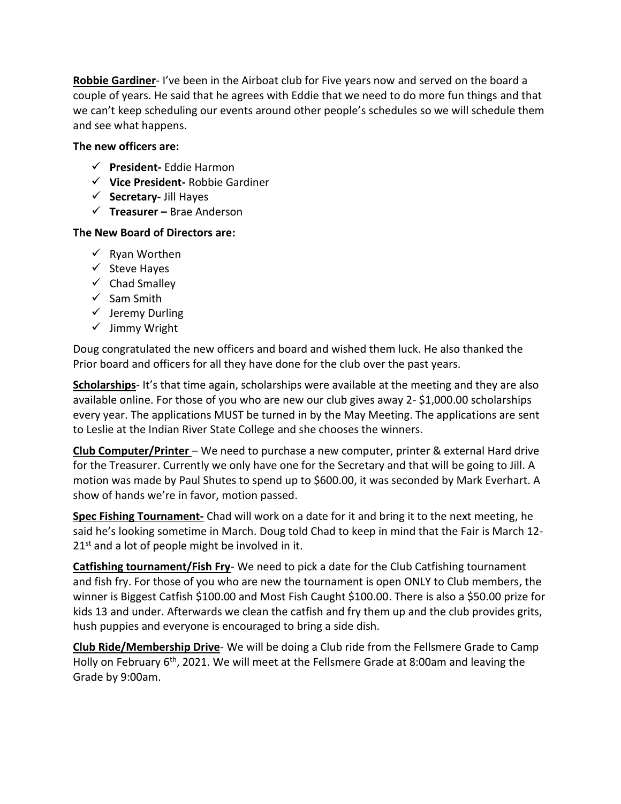**Robbie Gardiner**- I've been in the Airboat club for Five years now and served on the board a couple of years. He said that he agrees with Eddie that we need to do more fun things and that we can't keep scheduling our events around other people's schedules so we will schedule them and see what happens.

### **The new officers are:**

- ✓ **President-** Eddie Harmon
- ✓ **Vice President-** Robbie Gardiner
- ✓ **Secretary-** Jill Hayes
- ✓ **Treasurer –** Brae Anderson

### **The New Board of Directors are:**

- $\checkmark$  Ryan Worthen
- ✓ Steve Hayes
- $\checkmark$  Chad Smalley
- ✓ Sam Smith
- ✓ Jeremy Durling
- ✓ Jimmy Wright

Doug congratulated the new officers and board and wished them luck. He also thanked the Prior board and officers for all they have done for the club over the past years.

**Scholarships**- It's that time again, scholarships were available at the meeting and they are also available online. For those of you who are new our club gives away 2- \$1,000.00 scholarships every year. The applications MUST be turned in by the May Meeting. The applications are sent to Leslie at the Indian River State College and she chooses the winners.

**Club Computer/Printer** – We need to purchase a new computer, printer & external Hard drive for the Treasurer. Currently we only have one for the Secretary and that will be going to Jill. A motion was made by Paul Shutes to spend up to \$600.00, it was seconded by Mark Everhart. A show of hands we're in favor, motion passed.

**Spec Fishing Tournament-** Chad will work on a date for it and bring it to the next meeting, he said he's looking sometime in March. Doug told Chad to keep in mind that the Fair is March 12-  $21^{st}$  and a lot of people might be involved in it.

**Catfishing tournament/Fish Fry**- We need to pick a date for the Club Catfishing tournament and fish fry. For those of you who are new the tournament is open ONLY to Club members, the winner is Biggest Catfish \$100.00 and Most Fish Caught \$100.00. There is also a \$50.00 prize for kids 13 and under. Afterwards we clean the catfish and fry them up and the club provides grits, hush puppies and everyone is encouraged to bring a side dish.

**Club Ride/Membership Drive**- We will be doing a Club ride from the Fellsmere Grade to Camp Holly on February 6<sup>th</sup>, 2021. We will meet at the Fellsmere Grade at 8:00am and leaving the Grade by 9:00am.